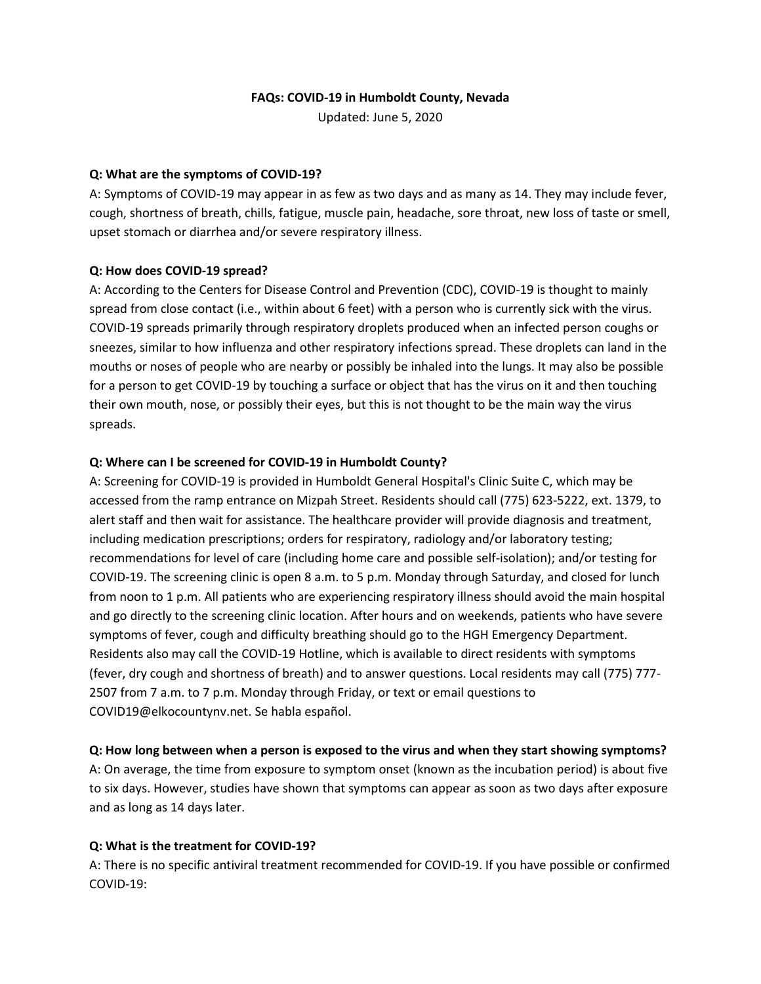#### **FAQs: COVID-19 in Humboldt County, Nevada**

Updated: June 5, 2020

#### **Q: What are the symptoms of COVID-19?**

A: Symptoms of COVID-19 may appear in as few as two days and as many as 14. They may include fever, cough, shortness of breath, chills, fatigue, muscle pain, headache, sore throat, new loss of taste or smell, upset stomach or diarrhea and/or severe respiratory illness.

## **Q: How does COVID-19 spread?**

A: According to the Centers for Disease Control and Prevention (CDC), COVID-19 is thought to mainly spread from close contact (i.e., within about 6 feet) with a person who is currently sick with the virus. COVID-19 spreads primarily through respiratory droplets produced when an infected person coughs or sneezes, similar to how influenza and other respiratory infections spread. These droplets can land in the mouths or noses of people who are nearby or possibly be inhaled into the lungs. It may also be possible for a person to get COVID-19 by touching a surface or object that has the virus on it and then touching their own mouth, nose, or possibly their eyes, but this is not thought to be the main way the virus spreads.

## **Q: Where can I be screened for COVID-19 in Humboldt County?**

A: Screening for COVID-19 is provided in Humboldt General Hospital's Clinic Suite C, which may be accessed from the ramp entrance on Mizpah Street. Residents should call (775) 623-5222, ext. 1379, to alert staff and then wait for assistance. The healthcare provider will provide diagnosis and treatment, including medication prescriptions; orders for respiratory, radiology and/or laboratory testing; recommendations for level of care (including home care and possible self-isolation); and/or testing for COVID-19. The screening clinic is open 8 a.m. to 5 p.m. Monday through Saturday, and closed for lunch from noon to 1 p.m. All patients who are experiencing respiratory illness should avoid the main hospital and go directly to the screening clinic location. After hours and on weekends, patients who have severe symptoms of fever, cough and difficulty breathing should go to the HGH Emergency Department. Residents also may call the COVID-19 Hotline, which is available to direct residents with symptoms (fever, dry cough and shortness of breath) and to answer questions. Local residents may call (775) 777- 2507 from 7 a.m. to 7 p.m. Monday through Friday, or text or email questions to COVID19@elkocountynv.net. Se habla español.

# **Q: How long between when a person is exposed to the virus and when they start showing symptoms?**

A: On average, the time from exposure to symptom onset (known as the incubation period) is about five to six days. However, studies have shown that symptoms can appear as soon as two days after exposure and as long as 14 days later.

# **Q: What is the treatment for COVID-19?**

A: There is no specific antiviral treatment recommended for COVID-19. If you have possible or confirmed COVID-19: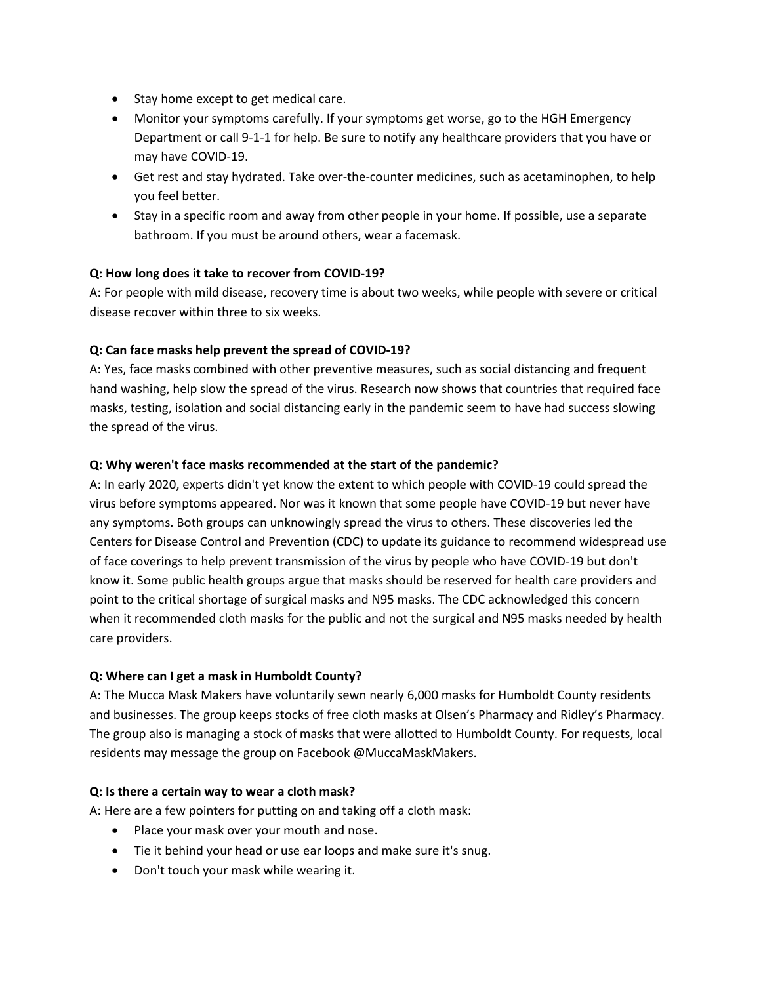- Stay home except to get medical care.
- Monitor your symptoms carefully. If your symptoms get worse, go to the HGH Emergency Department or call 9-1-1 for help. Be sure to notify any healthcare providers that you have or may have COVID-19.
- Get rest and stay hydrated. Take over-the-counter medicines, such as acetaminophen, to help you feel better.
- Stay in a specific room and away from other people in your home. If possible, use a separate bathroom. If you must be around others, wear a facemask.

# **Q: How long does it take to recover from COVID-19?**

A: For people with mild disease, recovery time is about two weeks, while people with severe or critical disease recover within three to six weeks.

## **Q: Can face masks help prevent the spread of COVID-19?**

A: Yes, face masks combined with other preventive measures, such as social distancing and frequent hand washing, help slow the spread of the virus. Research now shows that countries that required face masks, testing, isolation and social distancing early in the pandemic seem to have had success slowing the spread of the virus.

## **Q: Why weren't face masks recommended at the start of the pandemic?**

A: In early 2020, experts didn't yet know the extent to which people with COVID-19 could spread the virus before symptoms appeared. Nor was it known that some people have COVID-19 but never have any symptoms. Both groups can unknowingly spread the virus to others. These discoveries led the Centers for Disease Control and Prevention (CDC) to update its guidance to recommend widespread use of face coverings to help prevent transmission of the virus by people who have COVID-19 but don't know it. Some public health groups argue that masks should be reserved for health care providers and point to the critical shortage of surgical masks and N95 masks. The CDC acknowledged this concern when it recommended cloth masks for the public and not the surgical and N95 masks needed by health care providers.

#### **Q: Where can I get a mask in Humboldt County?**

A: The Mucca Mask Makers have voluntarily sewn nearly 6,000 masks for Humboldt County residents and businesses. The group keeps stocks of free cloth masks at Olsen's Pharmacy and Ridley's Pharmacy. The group also is managing a stock of masks that were allotted to Humboldt County. For requests, local residents may message the group on Facebook @MuccaMaskMakers.

#### **Q: Is there a certain way to wear a cloth mask?**

A: Here are a few pointers for putting on and taking off a cloth mask:

- Place your mask over your mouth and nose.
- Tie it behind your head or use ear loops and make sure it's snug.
- Don't touch your mask while wearing it.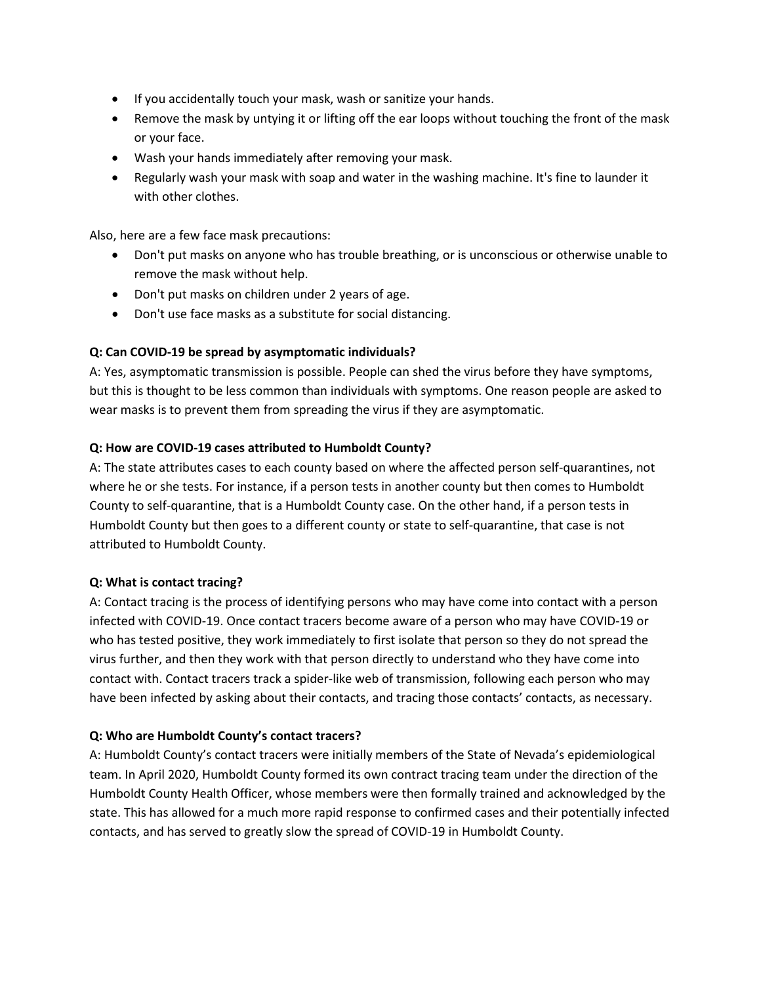- If you accidentally touch your mask, wash or sanitize your hands.
- Remove the mask by untying it or lifting off the ear loops without touching the front of the mask or your face.
- Wash your hands immediately after removing your mask.
- Regularly wash your mask with soap and water in the washing machine. It's fine to launder it with other clothes.

Also, here are a few face mask precautions:

- Don't put masks on anyone who has trouble breathing, or is unconscious or otherwise unable to remove the mask without help.
- Don't put masks on children under 2 years of age.
- Don't use face masks as a substitute for social distancing.

#### **Q: Can COVID-19 be spread by asymptomatic individuals?**

A: Yes, asymptomatic transmission is possible. People can shed the virus before they have symptoms, but this is thought to be less common than individuals with symptoms. One reason people are asked to wear masks is to prevent them from spreading the virus if they are asymptomatic.

#### **Q: How are COVID-19 cases attributed to Humboldt County?**

A: The state attributes cases to each county based on where the affected person self-quarantines, not where he or she tests. For instance, if a person tests in another county but then comes to Humboldt County to self-quarantine, that is a Humboldt County case. On the other hand, if a person tests in Humboldt County but then goes to a different county or state to self-quarantine, that case is not attributed to Humboldt County.

#### **Q: What is contact tracing?**

A: Contact tracing is the process of identifying persons who may have come into contact with a person infected with COVID-19. Once contact tracers become aware of a person who may have COVID-19 or who has tested positive, they work immediately to first isolate that person so they do not spread the virus further, and then they work with that person directly to understand who they have come into contact with. Contact tracers track a spider-like web of transmission, following each person who may have been infected by asking about their contacts, and tracing those contacts' contacts, as necessary.

#### **Q: Who are Humboldt County's contact tracers?**

A: Humboldt County's contact tracers were initially members of the State of Nevada's epidemiological team. In April 2020, Humboldt County formed its own contract tracing team under the direction of the Humboldt County Health Officer, whose members were then formally trained and acknowledged by the state. This has allowed for a much more rapid response to confirmed cases and their potentially infected contacts, and has served to greatly slow the spread of COVID-19 in Humboldt County.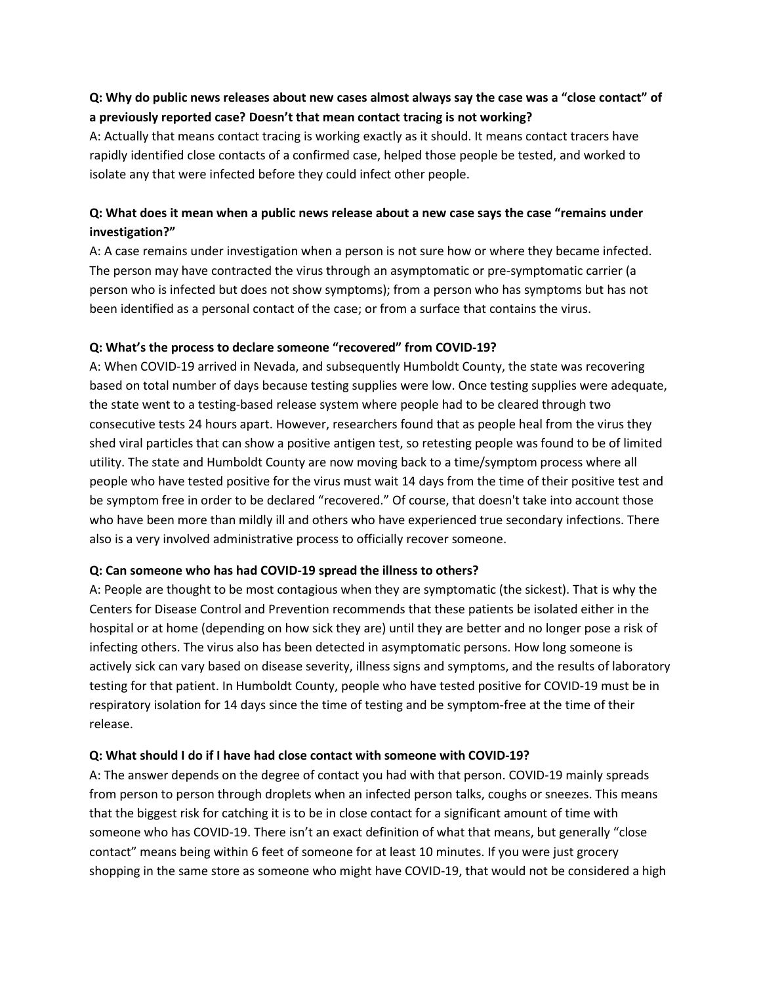# **Q: Why do public news releases about new cases almost always say the case was a "close contact" of a previously reported case? Doesn't that mean contact tracing is not working?**

A: Actually that means contact tracing is working exactly as it should. It means contact tracers have rapidly identified close contacts of a confirmed case, helped those people be tested, and worked to isolate any that were infected before they could infect other people.

# **Q: What does it mean when a public news release about a new case says the case "remains under investigation?"**

A: A case remains under investigation when a person is not sure how or where they became infected. The person may have contracted the virus through an asymptomatic or pre-symptomatic carrier (a person who is infected but does not show symptoms); from a person who has symptoms but has not been identified as a personal contact of the case; or from a surface that contains the virus.

## **Q: What's the process to declare someone "recovered" from COVID-19?**

A: When COVID-19 arrived in Nevada, and subsequently Humboldt County, the state was recovering based on total number of days because testing supplies were low. Once testing supplies were adequate, the state went to a testing-based release system where people had to be cleared through two consecutive tests 24 hours apart. However, researchers found that as people heal from the virus they shed viral particles that can show a positive antigen test, so retesting people was found to be of limited utility. The state and Humboldt County are now moving back to a time/symptom process where all people who have tested positive for the virus must wait 14 days from the time of their positive test and be symptom free in order to be declared "recovered." Of course, that doesn't take into account those who have been more than mildly ill and others who have experienced true secondary infections. There also is a very involved administrative process to officially recover someone.

# **Q: Can someone who has had COVID-19 spread the illness to others?**

A: People are thought to be most contagious when they are symptomatic (the sickest). That is why the Centers for Disease Control and Prevention recommends that these patients be isolated either in the hospital or at home (depending on how sick they are) until they are better and no longer pose a risk of infecting others. The virus also has been detected in asymptomatic persons. How long someone is actively sick can vary based on disease severity, illness signs and symptoms, and the results of laboratory testing for that patient. In Humboldt County, people who have tested positive for COVID-19 must be in respiratory isolation for 14 days since the time of testing and be symptom-free at the time of their release.

#### **Q: What should I do if I have had close contact with someone with COVID-19?**

A: The answer depends on the degree of contact you had with that person. COVID-19 mainly spreads from person to person through droplets when an infected person talks, coughs or sneezes. This means that the biggest risk for catching it is to be in close contact for a significant amount of time with someone who has COVID-19. There isn't an exact definition of what that means, but generally "close contact" means being within 6 feet of someone for at least 10 minutes. If you were just grocery shopping in the same store as someone who might have COVID-19, that would not be considered a high